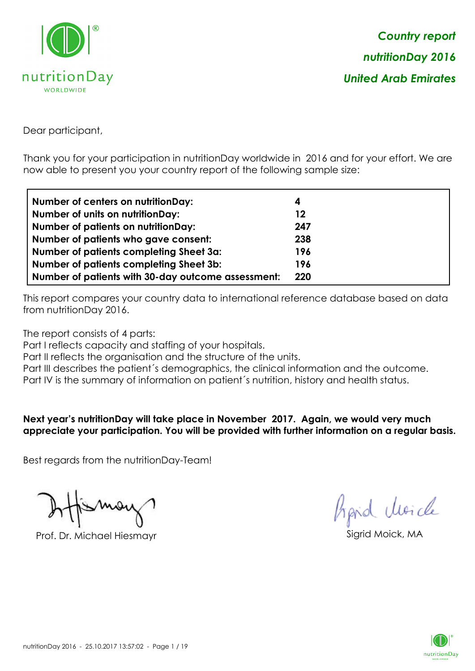

Dear participant,

Thank you for your participation in nutritionDay worldwide in 2016 and for your effort. We are now able to present you your country report of the following sample size:

| <b>Number of centers on nutritionDay:</b>          | 4   |
|----------------------------------------------------|-----|
| <b>Number of units on nutritionDay:</b>            | 12  |
| <b>Number of patients on nutritionDay:</b>         | 247 |
| Number of patients who gave consent:               | 238 |
| Number of patients completing Sheet 3a:            | 196 |
| <b>Number of patients completing Sheet 3b:</b>     | 196 |
| Number of patients with 30-day outcome assessment: | 220 |

This report compares your country data to international reference database based on data from nutritionDay 2016.

The report consists of 4 parts:

Part I reflects capacity and staffing of your hospitals.

Part II reflects the organisation and the structure of the units.

Part III describes the patient's demographics, the clinical information and the outcome.

Part IV is the summary of information on patient´s nutrition, history and health status.

**Next year's nutritionDay will take place in November 2017. Again, we would very much appreciate your participation. You will be provided with further information on a regular basis.**

Best regards from the nutritionDay-Team!

Prof. Dr. Michael Hiesmayr Sigrid Moick, MA

*Prpid cleacle* 

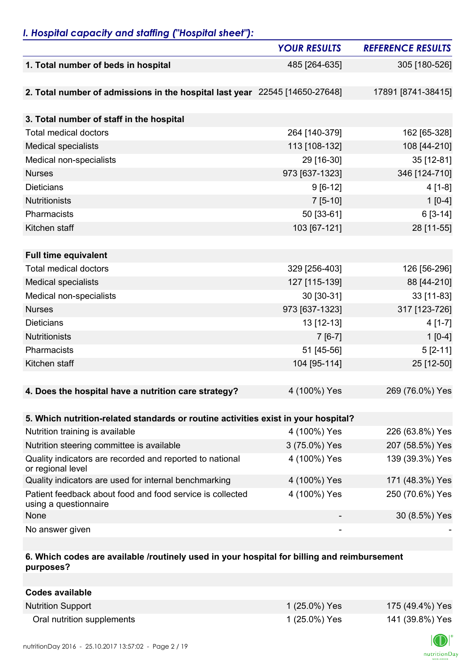## *I. Hospital capacity and staffing ("Hospital sheet"):*

|                                                                                    | <b>YOUR RESULTS</b> | <b>REFERENCE RESULTS</b> |
|------------------------------------------------------------------------------------|---------------------|--------------------------|
| 1. Total number of beds in hospital                                                | 485 [264-635]       | 305 [180-526]            |
|                                                                                    |                     |                          |
| 2. Total number of admissions in the hospital last year 22545 [14650-27648]        |                     | 17891 [8741-38415]       |
|                                                                                    |                     |                          |
| 3. Total number of staff in the hospital                                           |                     |                          |
| <b>Total medical doctors</b>                                                       | 264 [140-379]       | 162 [65-328]             |
| <b>Medical specialists</b>                                                         | 113 [108-132]       | 108 [44-210]             |
| Medical non-specialists                                                            | 29 [16-30]          | 35 [12-81]               |
| <b>Nurses</b>                                                                      | 973 [637-1323]      | 346 [124-710]            |
| <b>Dieticians</b>                                                                  | $9 [6-12]$          | $4[1-8]$                 |
| <b>Nutritionists</b>                                                               | $7[5-10]$           | $1[0-4]$                 |
| Pharmacists                                                                        | 50 [33-61]          | $6[3-14]$                |
| Kitchen staff                                                                      | 103 [67-121]        | 28 [11-55]               |
|                                                                                    |                     |                          |
| <b>Full time equivalent</b>                                                        |                     |                          |
| <b>Total medical doctors</b>                                                       | 329 [256-403]       | 126 [56-296]             |
| <b>Medical specialists</b>                                                         | 127 [115-139]       | 88 [44-210]              |
| Medical non-specialists                                                            | 30 [30-31]          | 33 [11-83]               |
| <b>Nurses</b>                                                                      | 973 [637-1323]      | 317 [123-726]            |
| <b>Dieticians</b>                                                                  | 13 [12-13]          | $4[1-7]$                 |
| <b>Nutritionists</b>                                                               | $7[6-7]$            | $1[0-4]$                 |
| Pharmacists                                                                        | 51 [45-56]          | $5 [2 - 11]$             |
| Kitchen staff                                                                      | 104 [95-114]        | 25 [12-50]               |
|                                                                                    |                     |                          |
| 4. Does the hospital have a nutrition care strategy?                               | 4 (100%) Yes        | 269 (76.0%) Yes          |
|                                                                                    |                     |                          |
| 5. Which nutrition-related standards or routine activities exist in your hospital? |                     |                          |
| Nutrition training is available                                                    | 4 (100%) Yes        | 226 (63.8%) Yes          |
| Nutrition steering committee is available                                          | 3 (75.0%) Yes       | 207 (58.5%) Yes          |
| Quality indicators are recorded and reported to national<br>or regional level      | 4 (100%) Yes        | 139 (39.3%) Yes          |
| Quality indicators are used for internal benchmarking                              | 4 (100%) Yes        | 171 (48.3%) Yes          |
| Patient feedback about food and food service is collected<br>using a questionnaire | 4 (100%) Yes        | 250 (70.6%) Yes          |
| None                                                                               |                     | 30 (8.5%) Yes            |
| No answer given                                                                    |                     |                          |

## **6. Which codes are available /routinely used in your hospital for billing and reimbursement purposes?**

| Codes available            |               |                 |
|----------------------------|---------------|-----------------|
| <b>Nutrition Support</b>   | 1 (25.0%) Yes | 175 (49.4%) Yes |
| Oral nutrition supplements | 1 (25.0%) Yes | 141 (39.8%) Yes |

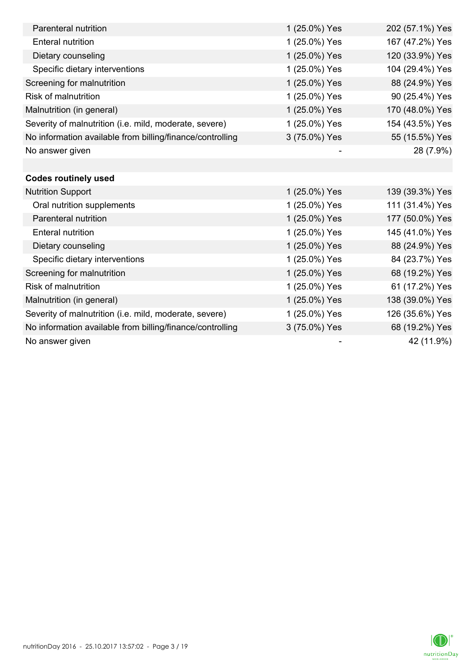| Parenteral nutrition                                      | 1 (25.0%) Yes | 202 (57.1%) Yes |
|-----------------------------------------------------------|---------------|-----------------|
| <b>Enteral nutrition</b>                                  | 1 (25.0%) Yes | 167 (47.2%) Yes |
| Dietary counseling                                        | 1 (25.0%) Yes | 120 (33.9%) Yes |
| Specific dietary interventions                            | 1 (25.0%) Yes | 104 (29.4%) Yes |
| Screening for malnutrition                                | 1 (25.0%) Yes | 88 (24.9%) Yes  |
| <b>Risk of malnutrition</b>                               | 1 (25.0%) Yes | 90 (25.4%) Yes  |
| Malnutrition (in general)                                 | 1 (25.0%) Yes | 170 (48.0%) Yes |
| Severity of malnutrition (i.e. mild, moderate, severe)    | 1 (25.0%) Yes | 154 (43.5%) Yes |
| No information available from billing/finance/controlling | 3 (75.0%) Yes | 55 (15.5%) Yes  |
| No answer given                                           |               | 28 (7.9%)       |
|                                                           |               |                 |
| <b>Codes routinely used</b>                               |               |                 |
| <b>Nutrition Support</b>                                  | 1 (25.0%) Yes | 139 (39.3%) Yes |
| Oral nutrition supplements                                | 1 (25.0%) Yes | 111 (31.4%) Yes |
| Parenteral nutrition                                      | 1 (25.0%) Yes | 177 (50.0%) Yes |
| <b>Enteral nutrition</b>                                  | 1 (25.0%) Yes | 145 (41.0%) Yes |
| Dietary counseling                                        | 1 (25.0%) Yes | 88 (24.9%) Yes  |
| Specific dietary interventions                            | 1 (25.0%) Yes | 84 (23.7%) Yes  |
| Screening for malnutrition                                | 1 (25.0%) Yes | 68 (19.2%) Yes  |
| <b>Risk of malnutrition</b>                               | 1 (25.0%) Yes | 61 (17.2%) Yes  |
| Malnutrition (in general)                                 | 1 (25.0%) Yes | 138 (39.0%) Yes |
| Severity of malnutrition (i.e. mild, moderate, severe)    | 1 (25.0%) Yes | 126 (35.6%) Yes |
| No information available from billing/finance/controlling | 3 (75.0%) Yes | 68 (19.2%) Yes  |
| No answer given                                           |               | 42 (11.9%)      |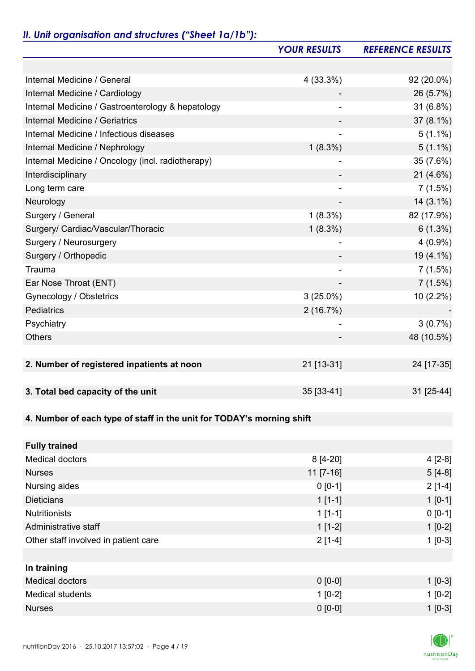## *II. Unit organisation and structures ("Sheet 1a/1b"):*

|                                                                       | <b>YOUR RESULTS</b> | <b>REFERENCE RESULTS</b> |
|-----------------------------------------------------------------------|---------------------|--------------------------|
|                                                                       |                     |                          |
| Internal Medicine / General                                           | 4 (33.3%)           | 92 (20.0%)               |
| Internal Medicine / Cardiology                                        |                     | 26 (5.7%)                |
| Internal Medicine / Gastroenterology & hepatology                     |                     | 31 (6.8%)                |
| Internal Medicine / Geriatrics                                        |                     | $37(8.1\%)$              |
| Internal Medicine / Infectious diseases                               |                     | $5(1.1\%)$               |
| Internal Medicine / Nephrology                                        | $1(8.3\%)$          | $5(1.1\%)$               |
| Internal Medicine / Oncology (incl. radiotherapy)                     |                     | 35 (7.6%)                |
| Interdisciplinary                                                     |                     | 21 (4.6%)                |
| Long term care                                                        |                     | 7(1.5%)                  |
| Neurology                                                             |                     | $14(3.1\%)$              |
| Surgery / General                                                     | $1(8.3\%)$          | 82 (17.9%)               |
| Surgery/ Cardiac/Vascular/Thoracic                                    | $1(8.3\%)$          | $6(1.3\%)$               |
| Surgery / Neurosurgery                                                |                     | $4(0.9\%)$               |
| Surgery / Orthopedic                                                  |                     | 19 (4.1%)                |
| Trauma                                                                |                     | 7(1.5%)                  |
| Ear Nose Throat (ENT)                                                 |                     | 7(1.5%)                  |
| Gynecology / Obstetrics                                               | $3(25.0\%)$         | 10 (2.2%)                |
| Pediatrics                                                            | 2(16.7%)            |                          |
| Psychiatry                                                            |                     | 3(0.7%)                  |
| <b>Others</b>                                                         |                     | 48 (10.5%)               |
|                                                                       |                     |                          |
| 2. Number of registered inpatients at noon                            | 21 [13-31]          | 24 [17-35]               |
|                                                                       |                     |                          |
| 3. Total bed capacity of the unit                                     | 35 [33-41]          | 31 [25-44]               |
|                                                                       |                     |                          |
| 4. Number of each type of staff in the unit for TODAY's morning shift |                     |                          |
|                                                                       |                     |                          |
| <b>Fully trained</b>                                                  |                     |                          |
| <b>Medical doctors</b>                                                | $8[4-20]$           | $4[2-8]$                 |
| <b>Nurses</b>                                                         | $11$ [7-16]         | $5[4-8]$                 |
| Nursing aides                                                         | $0 [0-1]$           | $2[1-4]$                 |
| <b>Dieticians</b>                                                     | $1[1-1]$            | $1 [0-1]$                |
| <b>Nutritionists</b>                                                  | $1[1-1]$            | $0 [0-1]$                |
| Administrative staff                                                  | $1[1-2]$            | $1[0-2]$                 |
| Other staff involved in patient care                                  | $2[1-4]$            | $1[0-3]$                 |
|                                                                       |                     |                          |
| In training                                                           |                     |                          |
| <b>Medical doctors</b>                                                | $0 [0-0]$           | $1$ [0-3]                |
| <b>Medical students</b>                                               | $1[0-2]$            | $1[0-2]$                 |
| <b>Nurses</b>                                                         | $0 [0-0]$           | $1 [0-3]$                |

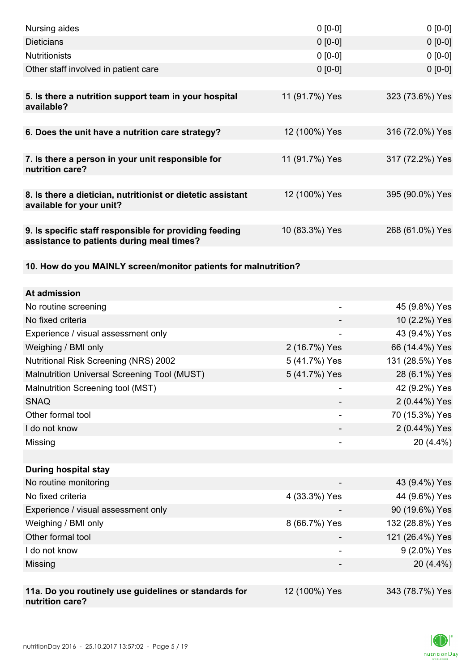| Nursing aides                                                                                       | $0 [0-0]$                    | $0[0-0]$        |
|-----------------------------------------------------------------------------------------------------|------------------------------|-----------------|
| <b>Dieticians</b>                                                                                   | $0 [0-0]$                    | $0[0-0]$        |
| <b>Nutritionists</b>                                                                                | $0 [0-0]$                    | $0 [0-0]$       |
| Other staff involved in patient care                                                                | $0 [0-0]$                    | $0 [0-0]$       |
| 5. Is there a nutrition support team in your hospital<br>available?                                 | 11 (91.7%) Yes               | 323 (73.6%) Yes |
| 6. Does the unit have a nutrition care strategy?                                                    | 12 (100%) Yes                | 316 (72.0%) Yes |
|                                                                                                     |                              |                 |
| 7. Is there a person in your unit responsible for<br>nutrition care?                                | 11 (91.7%) Yes               | 317 (72.2%) Yes |
| 8. Is there a dietician, nutritionist or dietetic assistant<br>available for your unit?             | 12 (100%) Yes                | 395 (90.0%) Yes |
| 9. Is specific staff responsible for providing feeding<br>assistance to patients during meal times? | 10 (83.3%) Yes               | 268 (61.0%) Yes |
| 10. How do you MAINLY screen/monitor patients for malnutrition?                                     |                              |                 |
|                                                                                                     |                              |                 |
| At admission                                                                                        |                              |                 |
| No routine screening                                                                                | $\qquad \qquad \blacksquare$ | 45 (9.8%) Yes   |
| No fixed criteria                                                                                   |                              | 10 (2.2%) Yes   |
| Experience / visual assessment only                                                                 |                              | 43 (9.4%) Yes   |
| Weighing / BMI only                                                                                 | 2 (16.7%) Yes                | 66 (14.4%) Yes  |
| <b>Nutritional Risk Screening (NRS) 2002</b>                                                        | 5 (41.7%) Yes                | 131 (28.5%) Yes |
| Malnutrition Universal Screening Tool (MUST)                                                        | 5 (41.7%) Yes                | 28 (6.1%) Yes   |
| Malnutrition Screening tool (MST)                                                                   |                              | 42 (9.2%) Yes   |
| <b>SNAQ</b>                                                                                         |                              | 2 (0.44%) Yes   |
| Other formal tool                                                                                   |                              | 70 (15.3%) Yes  |
| I do not know                                                                                       |                              | 2 (0.44%) Yes   |
| Missing                                                                                             |                              | $20(4.4\%)$     |
|                                                                                                     |                              |                 |
| <b>During hospital stay</b>                                                                         |                              |                 |
| No routine monitoring                                                                               |                              | 43 (9.4%) Yes   |
| No fixed criteria                                                                                   | 4 (33.3%) Yes                | 44 (9.6%) Yes   |
| Experience / visual assessment only                                                                 |                              | 90 (19.6%) Yes  |
| Weighing / BMI only                                                                                 | 8 (66.7%) Yes                | 132 (28.8%) Yes |
| Other formal tool                                                                                   |                              | 121 (26.4%) Yes |
| I do not know                                                                                       | -                            | 9 (2.0%) Yes    |
| Missing                                                                                             |                              | 20 (4.4%)       |
|                                                                                                     |                              |                 |
| 11a. Do you routinely use guidelines or standards for<br>nutrition care?                            | 12 (100%) Yes                | 343 (78.7%) Yes |

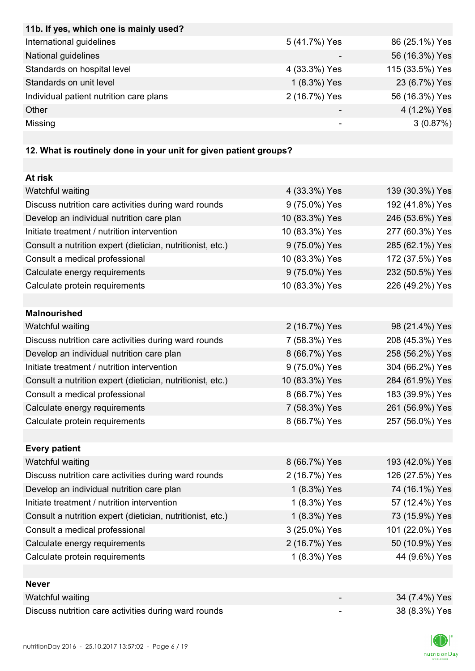| 11b. If yes, which one is mainly used?                            |                |                 |
|-------------------------------------------------------------------|----------------|-----------------|
| International guidelines                                          | 5 (41.7%) Yes  | 86 (25.1%) Yes  |
| National guidelines                                               |                | 56 (16.3%) Yes  |
| Standards on hospital level                                       | 4 (33.3%) Yes  | 115 (33.5%) Yes |
| Standards on unit level                                           | 1 (8.3%) Yes   | 23 (6.7%) Yes   |
| Individual patient nutrition care plans                           | 2 (16.7%) Yes  | 56 (16.3%) Yes  |
| Other                                                             |                | 4 (1.2%) Yes    |
| Missing                                                           |                | 3(0.87%)        |
|                                                                   |                |                 |
| 12. What is routinely done in your unit for given patient groups? |                |                 |
|                                                                   |                |                 |
| At risk                                                           |                |                 |
| Watchful waiting                                                  | 4 (33.3%) Yes  | 139 (30.3%) Yes |
| Discuss nutrition care activities during ward rounds              | 9 (75.0%) Yes  | 192 (41.8%) Yes |
| Develop an individual nutrition care plan                         | 10 (83.3%) Yes | 246 (53.6%) Yes |
| Initiate treatment / nutrition intervention                       | 10 (83.3%) Yes | 277 (60.3%) Yes |
| Consult a nutrition expert (dietician, nutritionist, etc.)        | 9 (75.0%) Yes  | 285 (62.1%) Yes |
| Consult a medical professional                                    | 10 (83.3%) Yes | 172 (37.5%) Yes |
| Calculate energy requirements                                     | 9 (75.0%) Yes  | 232 (50.5%) Yes |
| Calculate protein requirements                                    | 10 (83.3%) Yes | 226 (49.2%) Yes |
|                                                                   |                |                 |
| <b>Malnourished</b>                                               |                |                 |
| Watchful waiting                                                  | 2 (16.7%) Yes  | 98 (21.4%) Yes  |
| Discuss nutrition care activities during ward rounds              | 7 (58.3%) Yes  | 208 (45.3%) Yes |
| Develop an individual nutrition care plan                         | 8 (66.7%) Yes  | 258 (56.2%) Yes |
| Initiate treatment / nutrition intervention                       | 9 (75.0%) Yes  | 304 (66.2%) Yes |
| Consult a nutrition expert (dietician, nutritionist, etc.)        | 10 (83.3%) Yes | 284 (61.9%) Yes |
| Consult a medical professional                                    | 8 (66.7%) Yes  | 183 (39.9%) Yes |
| Calculate energy requirements                                     | 7 (58.3%) Yes  | 261 (56.9%) Yes |
| Calculate protein requirements                                    | 8 (66.7%) Yes  | 257 (56.0%) Yes |
|                                                                   |                |                 |
| <b>Every patient</b>                                              |                |                 |
| Watchful waiting                                                  | 8 (66.7%) Yes  | 193 (42.0%) Yes |
| Discuss nutrition care activities during ward rounds              | 2 (16.7%) Yes  | 126 (27.5%) Yes |
| Develop an individual nutrition care plan                         | 1 (8.3%) Yes   | 74 (16.1%) Yes  |
| Initiate treatment / nutrition intervention                       | 1 (8.3%) Yes   | 57 (12.4%) Yes  |
| Consult a nutrition expert (dietician, nutritionist, etc.)        | 1 (8.3%) Yes   | 73 (15.9%) Yes  |
| Consult a medical professional                                    | 3 (25.0%) Yes  | 101 (22.0%) Yes |
| Calculate energy requirements                                     | 2 (16.7%) Yes  | 50 (10.9%) Yes  |
| Calculate protein requirements                                    | 1 (8.3%) Yes   | 44 (9.6%) Yes   |
|                                                                   |                |                 |
| <b>Never</b>                                                      |                |                 |
| Watchful waiting                                                  |                | 34 (7.4%) Yes   |
| Discuss nutrition care activities during ward rounds              | -              | 38 (8.3%) Yes   |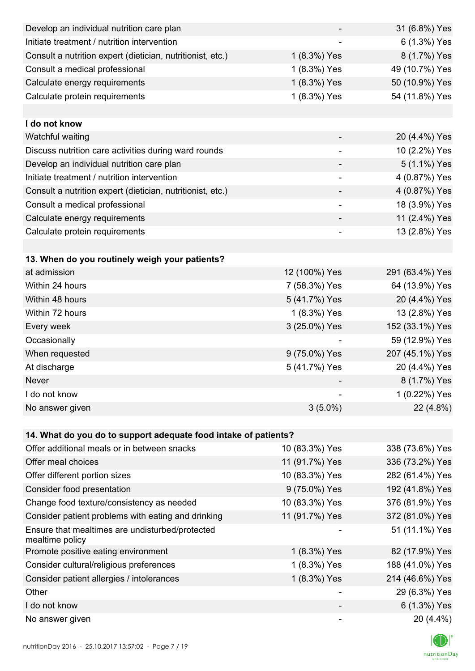| Develop an individual nutrition care plan                          |                          | 31 (6.8%) Yes   |
|--------------------------------------------------------------------|--------------------------|-----------------|
| Initiate treatment / nutrition intervention                        |                          | 6 (1.3%) Yes    |
| Consult a nutrition expert (dietician, nutritionist, etc.)         | 1 (8.3%) Yes             | 8 (1.7%) Yes    |
| Consult a medical professional                                     | 1 (8.3%) Yes             | 49 (10.7%) Yes  |
| Calculate energy requirements                                      | 1 (8.3%) Yes             | 50 (10.9%) Yes  |
| Calculate protein requirements                                     | 1 (8.3%) Yes             | 54 (11.8%) Yes  |
|                                                                    |                          |                 |
| I do not know                                                      |                          |                 |
| Watchful waiting                                                   |                          | 20 (4.4%) Yes   |
| Discuss nutrition care activities during ward rounds               |                          | 10 (2.2%) Yes   |
| Develop an individual nutrition care plan                          |                          | 5 (1.1%) Yes    |
| Initiate treatment / nutrition intervention                        | $\overline{\phantom{a}}$ | 4 (0.87%) Yes   |
| Consult a nutrition expert (dietician, nutritionist, etc.)         |                          | 4 (0.87%) Yes   |
| Consult a medical professional                                     | $\overline{\phantom{a}}$ | 18 (3.9%) Yes   |
| Calculate energy requirements                                      |                          | 11 (2.4%) Yes   |
| Calculate protein requirements                                     |                          | 13 (2.8%) Yes   |
|                                                                    |                          |                 |
| 13. When do you routinely weigh your patients?                     |                          |                 |
| at admission                                                       | 12 (100%) Yes            | 291 (63.4%) Yes |
| Within 24 hours                                                    | 7 (58.3%) Yes            | 64 (13.9%) Yes  |
| Within 48 hours                                                    | 5 (41.7%) Yes            | 20 (4.4%) Yes   |
| Within 72 hours                                                    | 1 (8.3%) Yes             | 13 (2.8%) Yes   |
| Every week                                                         | 3 (25.0%) Yes            | 152 (33.1%) Yes |
| Occasionally                                                       |                          | 59 (12.9%) Yes  |
| When requested                                                     | 9 (75.0%) Yes            | 207 (45.1%) Yes |
| At discharge                                                       | 5 (41.7%) Yes            | 20 (4.4%) Yes   |
| Never                                                              |                          | 8 (1.7%) Yes    |
| I do not know                                                      |                          | 1 (0.22%) Yes   |
| No answer given                                                    | $3(5.0\%)$               | 22 (4.8%)       |
|                                                                    |                          |                 |
| 14. What do you do to support adequate food intake of patients?    |                          |                 |
| Offer additional meals or in between snacks                        | 10 (83.3%) Yes           | 338 (73.6%) Yes |
| Offer meal choices                                                 | 11 (91.7%) Yes           | 336 (73.2%) Yes |
| Offer different portion sizes                                      | 10 (83.3%) Yes           | 282 (61.4%) Yes |
| Consider food presentation                                         | 9 (75.0%) Yes            | 192 (41.8%) Yes |
| Change food texture/consistency as needed                          | 10 (83.3%) Yes           | 376 (81.9%) Yes |
| Consider patient problems with eating and drinking                 | 11 (91.7%) Yes           | 372 (81.0%) Yes |
| Ensure that mealtimes are undisturbed/protected<br>mealtime policy |                          | 51 (11.1%) Yes  |
| Promote positive eating environment                                | 1 (8.3%) Yes             | 82 (17.9%) Yes  |
| Consider cultural/religious preferences                            | 1 (8.3%) Yes             | 188 (41.0%) Yes |
| Consider patient allergies / intolerances                          | 1 (8.3%) Yes             | 214 (46.6%) Yes |
| Other                                                              |                          | 29 (6.3%) Yes   |
| I do not know                                                      |                          | 6 (1.3%) Yes    |
| No answer given                                                    |                          | 20 (4.4%)       |

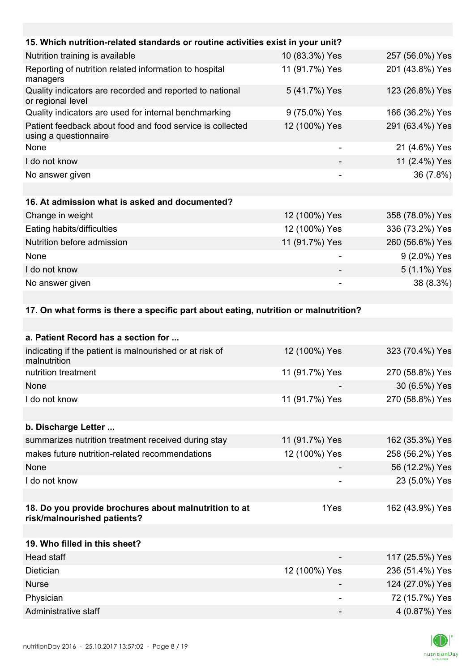| 15. Which nutrition-related standards or routine activities exist in your unit?    |                |                 |
|------------------------------------------------------------------------------------|----------------|-----------------|
| Nutrition training is available                                                    | 10 (83.3%) Yes | 257 (56.0%) Yes |
| Reporting of nutrition related information to hospital<br>managers                 | 11 (91.7%) Yes | 201 (43.8%) Yes |
| Quality indicators are recorded and reported to national<br>or regional level      | 5 (41.7%) Yes  | 123 (26.8%) Yes |
| Quality indicators are used for internal benchmarking                              | 9 (75.0%) Yes  | 166 (36.2%) Yes |
| Patient feedback about food and food service is collected<br>using a questionnaire | 12 (100%) Yes  | 291 (63.4%) Yes |
| None                                                                               |                | 21 (4.6%) Yes   |
| I do not know                                                                      |                | 11 (2.4%) Yes   |
| No answer given                                                                    |                | 36 (7.8%)       |
|                                                                                    |                |                 |
| 16. At admission what is asked and documented?                                     |                |                 |
| Change in weight                                                                   | 12 (100%) Yes  | 358 (78.0%) Yes |
| Eating habits/difficulties                                                         | 12 (100%) Yes  | 336 (73.2%) Yes |
| Nutrition before admission                                                         | 11 (91.7%) Yes | 260 (56.6%) Yes |
| None                                                                               |                | 9 (2.0%) Yes    |
| I do not know                                                                      |                | 5 (1.1%) Yes    |
| No answer given                                                                    |                | 38 (8.3%)       |

**17. On what forms is there a specific part about eating, nutrition or malnutrition?** 

| a. Patient Record has a section for                                                  |                |                 |
|--------------------------------------------------------------------------------------|----------------|-----------------|
| indicating if the patient is malnourished or at risk of<br>malnutrition              | 12 (100%) Yes  | 323 (70.4%) Yes |
| nutrition treatment                                                                  | 11 (91.7%) Yes | 270 (58.8%) Yes |
| None                                                                                 |                | 30 (6.5%) Yes   |
| I do not know                                                                        | 11 (91.7%) Yes | 270 (58.8%) Yes |
|                                                                                      |                |                 |
| b. Discharge Letter                                                                  |                |                 |
| summarizes nutrition treatment received during stay                                  | 11 (91.7%) Yes | 162 (35.3%) Yes |
| makes future nutrition-related recommendations                                       | 12 (100%) Yes  | 258 (56.2%) Yes |
| <b>None</b>                                                                          |                | 56 (12.2%) Yes  |
| I do not know                                                                        |                | 23 (5.0%) Yes   |
|                                                                                      |                |                 |
| 18. Do you provide brochures about malnutrition to at<br>risk/malnourished patients? | 1Yes           | 162 (43.9%) Yes |
|                                                                                      |                |                 |
| 19. Who filled in this sheet?                                                        |                |                 |
| Head staff                                                                           |                | 117 (25.5%) Yes |
| Dietician                                                                            | 12 (100%) Yes  | 236 (51.4%) Yes |
| <b>Nurse</b>                                                                         |                | 124 (27.0%) Yes |
| Physician                                                                            |                | 72 (15.7%) Yes  |
| Administrative staff                                                                 |                | 4 (0.87%) Yes   |

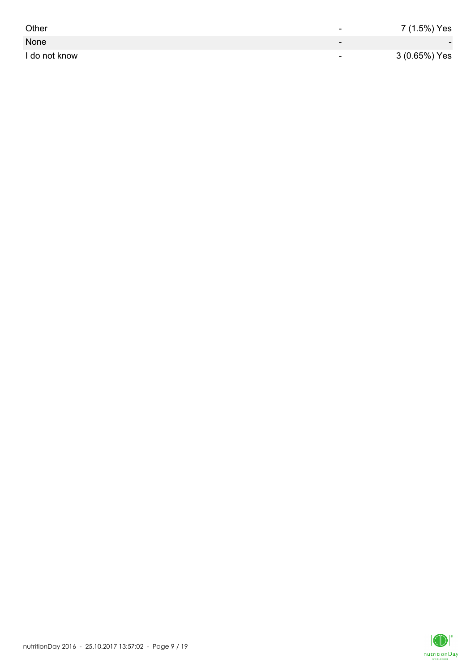| Other         | -                        | 7 (1.5%) Yes             |
|---------------|--------------------------|--------------------------|
| None          | $\overline{\phantom{0}}$ | $\overline{\phantom{0}}$ |
| I do not know | $\overline{\phantom{0}}$ | 3 (0.65%) Yes            |

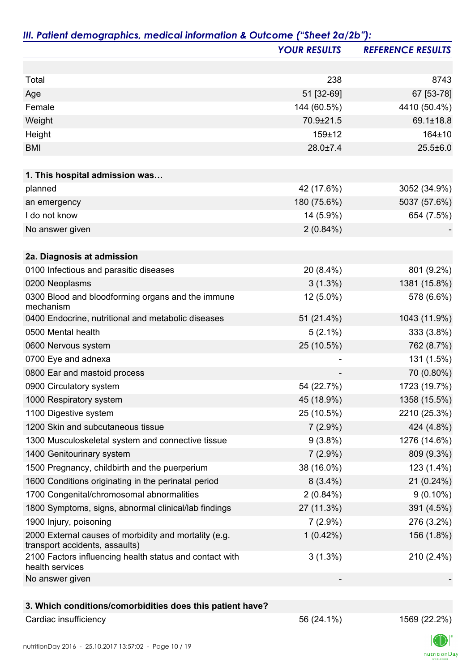|                                                                                         | <b>YOUR RESULTS</b> | <b>REFERENCE RESULTS</b> |
|-----------------------------------------------------------------------------------------|---------------------|--------------------------|
|                                                                                         |                     |                          |
| Total                                                                                   | 238                 | 8743                     |
| Age                                                                                     | 51 [32-69]          | 67 [53-78]               |
| Female                                                                                  | 144 (60.5%)         | 4410 (50.4%)             |
| Weight                                                                                  | 70.9±21.5           | 69.1±18.8                |
| Height                                                                                  | 159±12              | 164±10                   |
| <b>BMI</b>                                                                              | $28.0 \pm 7.4$      | $25.5 \pm 6.0$           |
|                                                                                         |                     |                          |
| 1. This hospital admission was                                                          |                     |                          |
| planned                                                                                 | 42 (17.6%)          | 3052 (34.9%)             |
| an emergency                                                                            | 180 (75.6%)         | 5037 (57.6%)             |
| I do not know                                                                           | 14 (5.9%)           | 654 (7.5%)               |
| No answer given                                                                         | $2(0.84\%)$         |                          |
| 2a. Diagnosis at admission                                                              |                     |                          |
| 0100 Infectious and parasitic diseases                                                  | 20 (8.4%)           | 801 (9.2%)               |
| 0200 Neoplasms                                                                          | $3(1.3\%)$          | 1381 (15.8%)             |
| 0300 Blood and bloodforming organs and the immune<br>mechanism                          | 12 (5.0%)           | 578 (6.6%)               |
| 0400 Endocrine, nutritional and metabolic diseases                                      | 51 (21.4%)          | 1043 (11.9%)             |
| 0500 Mental health                                                                      | $5(2.1\%)$          | 333 (3.8%)               |
| 0600 Nervous system                                                                     | 25 (10.5%)          | 762 (8.7%)               |
| 0700 Eye and adnexa                                                                     |                     | 131 (1.5%)               |
| 0800 Ear and mastoid process                                                            |                     | 70 (0.80%)               |
| 0900 Circulatory system                                                                 | 54 (22.7%)          | 1723 (19.7%)             |
| 1000 Respiratory system                                                                 | 45 (18.9%)          | 1358 (15.5%)             |
| 1100 Digestive system                                                                   | 25 (10.5%)          | 2210 (25.3%)             |
| 1200 Skin and subcutaneous tissue                                                       | $7(2.9\%)$          | 424 (4.8%)               |
| 1300 Musculoskeletal system and connective tissue                                       | $9(3.8\%)$          | 1276 (14.6%)             |
| 1400 Genitourinary system                                                               | $7(2.9\%)$          | 809 (9.3%)               |
| 1500 Pregnancy, childbirth and the puerperium                                           | 38 (16.0%)          | 123 (1.4%)               |
| 1600 Conditions originating in the perinatal period                                     | $8(3.4\%)$          | 21(0.24%)                |
| 1700 Congenital/chromosomal abnormalities                                               | $2(0.84\%)$         | $9(0.10\%)$              |
| 1800 Symptoms, signs, abnormal clinical/lab findings                                    | 27 (11.3%)          | 391 (4.5%)               |
| 1900 Injury, poisoning                                                                  | $7(2.9\%)$          | 276 (3.2%)               |
| 2000 External causes of morbidity and mortality (e.g.<br>transport accidents, assaults) | 1(0.42%)            | 156 (1.8%)               |
| 2100 Factors influencing health status and contact with<br>health services              | $3(1.3\%)$          | $210(2.4\%)$             |
| No answer given                                                                         |                     |                          |
| 3. Which conditions/comorbidities does this patient have?                               |                     |                          |
|                                                                                         |                     |                          |

## Cardiac insufficiency 1569 (22.2%)

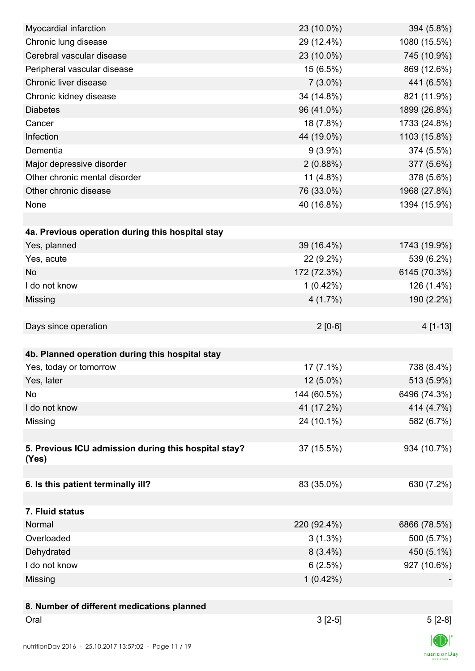| Myocardial infarction                                  | 23 (10.0%)  | 394 (5.8%)   |
|--------------------------------------------------------|-------------|--------------|
| Chronic lung disease                                   | 29 (12.4%)  | 1080 (15.5%) |
| Cerebral vascular disease                              | 23 (10.0%)  | 745 (10.9%)  |
| Peripheral vascular disease                            | 15 (6.5%)   | 869 (12.6%)  |
| Chronic liver disease                                  | $7(3.0\%)$  | 441 (6.5%)   |
| Chronic kidney disease                                 | 34 (14.8%)  | 821 (11.9%)  |
| <b>Diabetes</b>                                        | 96 (41.0%)  | 1899 (26.8%) |
| Cancer                                                 | 18 (7.8%)   | 1733 (24.8%) |
| Infection                                              | 44 (19.0%)  | 1103 (15.8%) |
| Dementia                                               | $9(3.9\%)$  | 374 (5.5%)   |
| Major depressive disorder                              | 2(0.88%)    | 377 (5.6%)   |
| Other chronic mental disorder                          | $11(4.8\%)$ | 378 (5.6%)   |
| Other chronic disease                                  | 76 (33.0%)  | 1968 (27.8%) |
| None                                                   | 40 (16.8%)  | 1394 (15.9%) |
|                                                        |             |              |
| 4a. Previous operation during this hospital stay       |             |              |
| Yes, planned                                           | 39 (16.4%)  | 1743 (19.9%) |
| Yes, acute                                             | 22 (9.2%)   | 539 (6.2%)   |
| <b>No</b>                                              | 172 (72.3%) | 6145 (70.3%) |
| I do not know                                          | $1(0.42\%)$ | 126 (1.4%)   |
| Missing                                                | 4(1.7%)     | 190 (2.2%)   |
|                                                        |             |              |
| Days since operation                                   | $2[0-6]$    | 4 [1-13]     |
|                                                        |             |              |
| 4b. Planned operation during this hospital stay        |             |              |
| Yes, today or tomorrow                                 | $17(7.1\%)$ | 738 (8.4%)   |
|                                                        |             |              |
| Yes, later                                             | $12(5.0\%)$ | 513 (5.9%)   |
| No                                                     | 144 (60.5%) | 6496 (74.3%) |
| I do not know                                          | 41 (17.2%)  | 414 (4.7%)   |
| Missing                                                | 24 (10.1%)  | 582 (6.7%)   |
|                                                        |             |              |
| 5. Previous ICU admission during this hospital stay?   | 37 (15.5%)  | 934 (10.7%)  |
| (Yes)                                                  |             |              |
| 6. Is this patient terminally ill?                     | 83 (35.0%)  | 630 (7.2%)   |
|                                                        |             |              |
| 7. Fluid status                                        |             |              |
| Normal                                                 | 220 (92.4%) | 6866 (78.5%) |
| Overloaded                                             | $3(1.3\%)$  | 500 (5.7%)   |
| Dehydrated                                             | $8(3.4\%)$  | 450 (5.1%)   |
| I do not know                                          | 6(2.5%)     | 927 (10.6%)  |
|                                                        | 1(0.42%)    |              |
| Missing                                                |             |              |
|                                                        |             |              |
| 8. Number of different medications planned<br>Oral     | $3[2-5]$    |              |
|                                                        |             | $5[2-8]$     |
| nutritionDay 2016 - 25 10 2017 13:57:02 - Page 11 / 19 |             |              |

 $\textsf{nutritionDay}$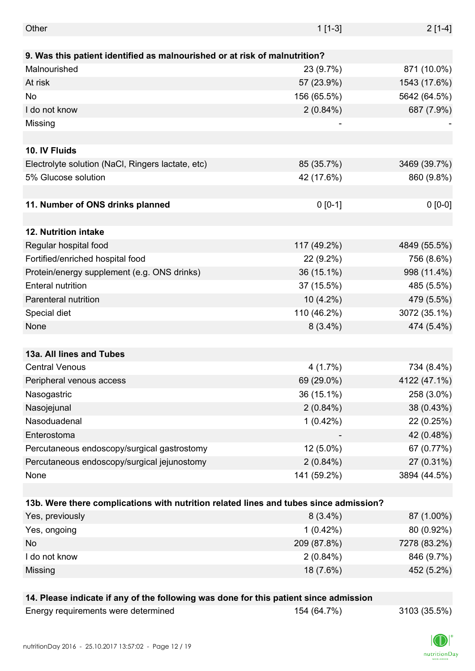| Other                                                                                 | $1[1-3]$    | $2[1-4]$     |  |
|---------------------------------------------------------------------------------------|-------------|--------------|--|
| 9. Was this patient identified as malnourished or at risk of malnutrition?            |             |              |  |
| Malnourished                                                                          | 23 (9.7%)   | 871 (10.0%)  |  |
| At risk                                                                               | 57 (23.9%)  | 1543 (17.6%) |  |
| No                                                                                    | 156 (65.5%) | 5642 (64.5%) |  |
| I do not know                                                                         |             |              |  |
|                                                                                       | $2(0.84\%)$ | 687 (7.9%)   |  |
| Missing                                                                               |             |              |  |
| 10. IV Fluids                                                                         |             |              |  |
| Electrolyte solution (NaCl, Ringers lactate, etc)                                     | 85 (35.7%)  | 3469 (39.7%) |  |
| 5% Glucose solution                                                                   | 42 (17.6%)  | 860 (9.8%)   |  |
|                                                                                       |             |              |  |
| 11. Number of ONS drinks planned                                                      | $0 [0-1]$   | $0 [0-0]$    |  |
|                                                                                       |             |              |  |
| 12. Nutrition intake                                                                  |             |              |  |
| Regular hospital food                                                                 | 117 (49.2%) | 4849 (55.5%) |  |
| Fortified/enriched hospital food                                                      | 22 (9.2%)   | 756 (8.6%)   |  |
| Protein/energy supplement (e.g. ONS drinks)                                           | 36 (15.1%)  | 998 (11.4%)  |  |
| <b>Enteral nutrition</b>                                                              | 37 (15.5%)  | 485 (5.5%)   |  |
| Parenteral nutrition                                                                  | $10(4.2\%)$ | 479 (5.5%)   |  |
| Special diet                                                                          | 110 (46.2%) | 3072 (35.1%) |  |
| None                                                                                  | $8(3.4\%)$  | 474 (5.4%)   |  |
|                                                                                       |             |              |  |
| 13a. All lines and Tubes                                                              |             |              |  |
| <b>Central Venous</b>                                                                 | 4(1.7%)     | 734 (8.4%)   |  |
| Peripheral venous access                                                              | 69 (29.0%)  | 4122 (47.1%) |  |
| Nasogastric                                                                           | 36 (15.1%)  | 258 (3.0%)   |  |
| Nasojejunal                                                                           | $2(0.84\%)$ | 38 (0.43%)   |  |
| Nasoduadenal                                                                          | $1(0.42\%)$ | 22 (0.25%)   |  |
| Enterostoma                                                                           |             | 42 (0.48%)   |  |
| Percutaneous endoscopy/surgical gastrostomy                                           | $12(5.0\%)$ | 67 (0.77%)   |  |
| Percutaneous endoscopy/surgical jejunostomy                                           | $2(0.84\%)$ | 27 (0.31%)   |  |
| None                                                                                  | 141 (59.2%) | 3894 (44.5%) |  |
|                                                                                       |             |              |  |
| 13b. Were there complications with nutrition related lines and tubes since admission? |             |              |  |
| Yes, previously                                                                       | $8(3.4\%)$  | 87 (1.00%)   |  |
| Yes, ongoing                                                                          | $1(0.42\%)$ | 80 (0.92%)   |  |
| No                                                                                    | 209 (87.8%) | 7278 (83.2%) |  |
| I do not know                                                                         | $2(0.84\%)$ | 846 (9.7%)   |  |
| Missing                                                                               | 18 (7.6%)   | 452 (5.2%)   |  |
|                                                                                       |             |              |  |
| 14. Please indicate if any of the following was done for this patient since admission |             |              |  |
| Energy requirements were determined                                                   | 154 (64.7%) | 3103 (35.5%) |  |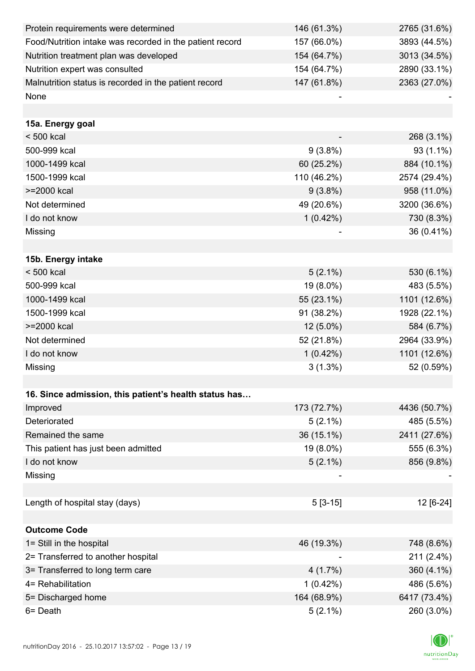| Protein requirements were determined                     | 146 (61.3%) | 2765 (31.6%) |
|----------------------------------------------------------|-------------|--------------|
| Food/Nutrition intake was recorded in the patient record | 157 (66.0%) | 3893 (44.5%) |
| Nutrition treatment plan was developed                   | 154 (64.7%) | 3013 (34.5%) |
| Nutrition expert was consulted                           | 154 (64.7%) | 2890 (33.1%) |
| Malnutrition status is recorded in the patient record    | 147 (61.8%) | 2363 (27.0%) |
| None                                                     |             |              |
|                                                          |             |              |
| 15a. Energy goal                                         |             |              |
| $< 500$ kcal                                             |             | 268 (3.1%)   |
| 500-999 kcal                                             | $9(3.8\%)$  | 93 (1.1%)    |
| 1000-1499 kcal                                           | 60 (25.2%)  | 884 (10.1%)  |
| 1500-1999 kcal                                           | 110 (46.2%) | 2574 (29.4%) |
| >=2000 kcal                                              | $9(3.8\%)$  | 958 (11.0%)  |
| Not determined                                           | 49 (20.6%)  | 3200 (36.6%) |
| I do not know                                            | $1(0.42\%)$ | 730 (8.3%)   |
| Missing                                                  |             | 36 (0.41%)   |
|                                                          |             |              |
| 15b. Energy intake                                       |             |              |
| $< 500$ kcal                                             | $5(2.1\%)$  | 530 (6.1%)   |
| 500-999 kcal                                             | 19 (8.0%)   | 483 (5.5%)   |
| 1000-1499 kcal                                           | 55 (23.1%)  | 1101 (12.6%) |
| 1500-1999 kcal                                           | 91 (38.2%)  | 1928 (22.1%) |
| >=2000 kcal                                              | $12(5.0\%)$ | 584 (6.7%)   |
| Not determined                                           | 52 (21.8%)  | 2964 (33.9%) |
| I do not know                                            | $1(0.42\%)$ | 1101 (12.6%) |
| Missing                                                  | $3(1.3\%)$  | 52 (0.59%)   |
|                                                          |             |              |
| 16. Since admission, this patient's health status has    |             |              |
| Improved                                                 | 173 (72.7%) | 4436 (50.7%) |
| Deteriorated                                             | $5(2.1\%)$  | 485 (5.5%)   |
| Remained the same                                        | 36 (15.1%)  | 2411 (27.6%) |
| This patient has just been admitted                      | 19 (8.0%)   | 555 (6.3%)   |
| I do not know                                            | $5(2.1\%)$  | 856 (9.8%)   |
| Missing                                                  |             |              |
|                                                          |             |              |
| Length of hospital stay (days)                           | $5[3-15]$   | 12 [6-24]    |
|                                                          |             |              |
| <b>Outcome Code</b>                                      |             |              |
| 1= Still in the hospital                                 | 46 (19.3%)  | 748 (8.6%)   |
| 2= Transferred to another hospital                       |             | 211 (2.4%)   |
| 3= Transferred to long term care                         | 4(1.7%)     | 360 (4.1%)   |
| 4= Rehabilitation                                        | 1(0.42%)    | 486 (5.6%)   |
| 5= Discharged home                                       | 164 (68.9%) | 6417 (73.4%) |
| 6= Death                                                 | $5(2.1\%)$  | 260 (3.0%)   |

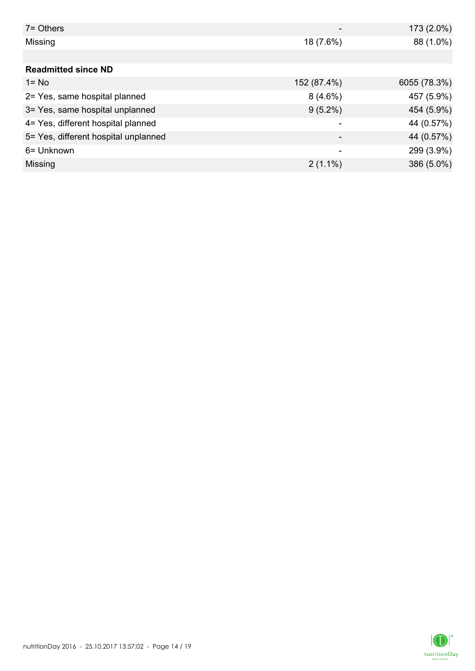| $7 =$ Others                         |                          | 173 (2.0%)   |
|--------------------------------------|--------------------------|--------------|
| Missing                              | 18 (7.6%)                | 88 (1.0%)    |
|                                      |                          |              |
| <b>Readmitted since ND</b>           |                          |              |
| $1 = No$                             | 152 (87.4%)              | 6055 (78.3%) |
| 2= Yes, same hospital planned        | $8(4.6\%)$               | 457 (5.9%)   |
| 3= Yes, same hospital unplanned      | $9(5.2\%)$               | 454 (5.9%)   |
| 4= Yes, different hospital planned   |                          | 44 (0.57%)   |
| 5= Yes, different hospital unplanned | $\overline{\phantom{0}}$ | 44 (0.57%)   |
| 6= Unknown                           |                          | 299 (3.9%)   |
| Missing                              | $2(1.1\%)$               | 386 (5.0%)   |

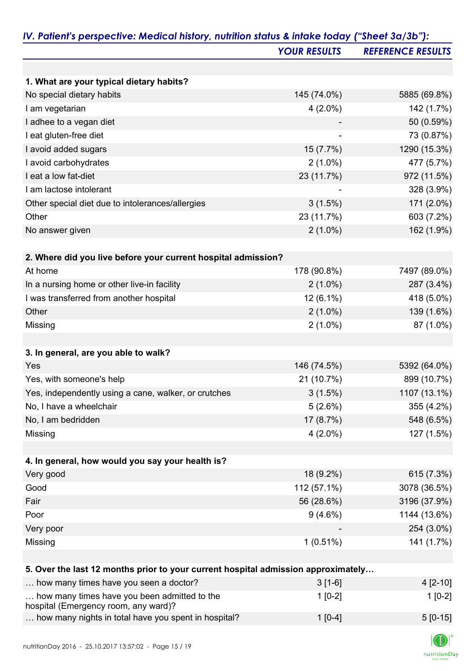|                                                                                   | <b>YOUR RESULTS</b> | <b>REFERENCE RESULTS</b> |
|-----------------------------------------------------------------------------------|---------------------|--------------------------|
|                                                                                   |                     |                          |
| 1. What are your typical dietary habits?                                          |                     |                          |
| No special dietary habits                                                         | 145 (74.0%)         | 5885 (69.8%)             |
| I am vegetarian                                                                   | $4(2.0\%)$          | 142 (1.7%)               |
| I adhee to a vegan diet                                                           |                     | 50 (0.59%)               |
| I eat gluten-free diet                                                            |                     | 73 (0.87%)               |
| I avoid added sugars                                                              | 15 (7.7%)           | 1290 (15.3%)             |
| I avoid carbohydrates                                                             | $2(1.0\%)$          | 477 (5.7%)               |
| I eat a low fat-diet                                                              | 23 (11.7%)          | 972 (11.5%)              |
| I am lactose intolerant                                                           |                     | 328 (3.9%)               |
| Other special diet due to intolerances/allergies                                  | 3(1.5%)             | 171 (2.0%)               |
| Other                                                                             | 23 (11.7%)          | 603 (7.2%)               |
| No answer given                                                                   | $2(1.0\%)$          | 162 (1.9%)               |
|                                                                                   |                     |                          |
| 2. Where did you live before your current hospital admission?                     |                     |                          |
| At home                                                                           | 178 (90.8%)         | 7497 (89.0%)             |
| In a nursing home or other live-in facility                                       | $2(1.0\%)$          | 287 (3.4%)               |
| I was transferred from another hospital                                           | $12(6.1\%)$         | 418 (5.0%)               |
| Other                                                                             | $2(1.0\%)$          | 139 (1.6%)               |
| Missing                                                                           | $2(1.0\%)$          | 87 (1.0%)                |
|                                                                                   |                     |                          |
| 3. In general, are you able to walk?                                              |                     |                          |
| Yes                                                                               | 146 (74.5%)         | 5392 (64.0%)             |
| Yes, with someone's help                                                          | 21 (10.7%)          | 899 (10.7%)              |
| Yes, independently using a cane, walker, or crutches                              | $3(1.5\%)$          | 1107 (13.1%)             |
| No, I have a wheelchair                                                           | 5(2.6%)             | 355 (4.2%)               |
| No, I am bedridden                                                                | 17 (8.7%)           | 548 (6.5%)               |
| Missing                                                                           | $4(2.0\%)$          | 127 (1.5%)               |
|                                                                                   |                     |                          |
| 4. In general, how would you say your health is?                                  |                     |                          |
| Very good                                                                         | 18 (9.2%)           | 615 (7.3%)               |
| Good                                                                              | 112 (57.1%)         | 3078 (36.5%)             |
| Fair                                                                              | 56 (28.6%)          | 3196 (37.9%)             |
| Poor                                                                              | $9(4.6\%)$          | 1144 (13.6%)             |
| Very poor                                                                         |                     | 254 (3.0%)               |
| Missing                                                                           | 1(0.51%)            | 141 (1.7%)               |
|                                                                                   |                     |                          |
| 5. Over the last 12 months prior to your current hospital admission approximately |                     |                          |
| how many times have you seen a doctor?                                            | $3[1-6]$            | 4 [2-10]                 |
| how many times have you been admitted to the                                      | $1[0-2]$            | $1[0-2]$                 |

... how many nights in total have you spent in hospital?  $1[0-4]$  5 [0-15]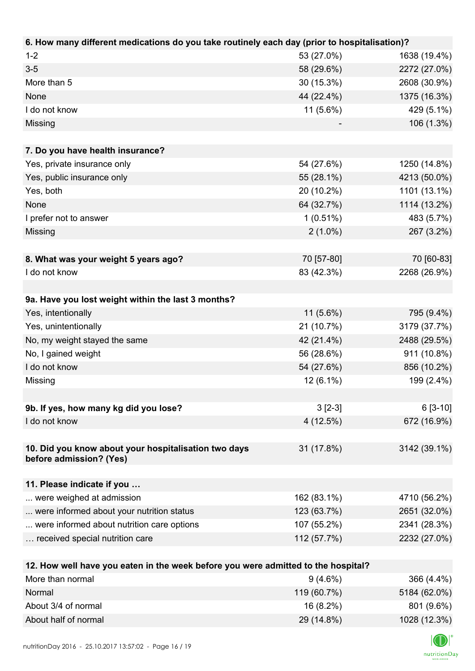| 6. How many different medications do you take routinely each day (prior to hospitalisation)? |             |              |
|----------------------------------------------------------------------------------------------|-------------|--------------|
| $1 - 2$                                                                                      | 53 (27.0%)  | 1638 (19.4%) |
| $3-5$                                                                                        | 58 (29.6%)  | 2272 (27.0%) |
| More than 5                                                                                  | 30 (15.3%)  | 2608 (30.9%) |
| None                                                                                         | 44 (22.4%)  | 1375 (16.3%) |
| I do not know                                                                                | 11 (5.6%)   | 429 (5.1%)   |
| Missing                                                                                      |             | 106 (1.3%)   |
|                                                                                              |             |              |
| 7. Do you have health insurance?                                                             |             |              |
| Yes, private insurance only                                                                  | 54 (27.6%)  | 1250 (14.8%) |
| Yes, public insurance only                                                                   | 55 (28.1%)  | 4213 (50.0%) |
| Yes, both                                                                                    | 20 (10.2%)  | 1101 (13.1%) |
| None                                                                                         | 64 (32.7%)  | 1114 (13.2%) |
| I prefer not to answer                                                                       | $1(0.51\%)$ | 483 (5.7%)   |
| Missing                                                                                      | $2(1.0\%)$  | 267 (3.2%)   |
|                                                                                              |             |              |
| 8. What was your weight 5 years ago?                                                         | 70 [57-80]  | 70 [60-83]   |
| I do not know                                                                                | 83 (42.3%)  | 2268 (26.9%) |
|                                                                                              |             |              |
| 9a. Have you lost weight within the last 3 months?                                           |             |              |
| Yes, intentionally                                                                           | $11(5.6\%)$ | 795 (9.4%)   |
| Yes, unintentionally                                                                         | 21 (10.7%)  | 3179 (37.7%) |
| No, my weight stayed the same                                                                | 42 (21.4%)  | 2488 (29.5%) |
| No, I gained weight                                                                          | 56 (28.6%)  | 911 (10.8%)  |
| I do not know                                                                                | 54 (27.6%)  | 856 (10.2%)  |
| Missing                                                                                      | 12 (6.1%)   | 199 (2.4%)   |
|                                                                                              |             |              |
| 9b. If yes, how many kg did you lose?                                                        | $3 [2-3]$   | $6[3-10]$    |
| I do not know                                                                                | 4(12.5%)    | 672 (16.9%)  |
|                                                                                              |             |              |
| 10. Did you know about your hospitalisation two days                                         | 31 (17.8%)  | 3142 (39.1%) |
| before admission? (Yes)                                                                      |             |              |
|                                                                                              |             |              |
| 11. Please indicate if you                                                                   |             |              |
| were weighed at admission                                                                    | 162 (83.1%) | 4710 (56.2%) |
| were informed about your nutrition status                                                    | 123 (63.7%) | 2651 (32.0%) |
| were informed about nutrition care options                                                   | 107 (55.2%) | 2341 (28.3%) |
| received special nutrition care                                                              | 112 (57.7%) | 2232 (27.0%) |
|                                                                                              |             |              |
| 12. How well have you eaten in the week before you were admitted to the hospital?            |             |              |
| More than normal                                                                             | $9(4.6\%)$  | 366 (4.4%)   |
| Normal                                                                                       | 119 (60.7%) | 5184 (62.0%) |

| NUHIMI               | 113100.7701 | 0104(02.07)  |
|----------------------|-------------|--------------|
| About 3/4 of normal  | 16 (8.2%)   | 801 (9.6%)   |
| About half of normal | 29 (14.8%)  | 1028 (12.3%) |
|                      |             |              |

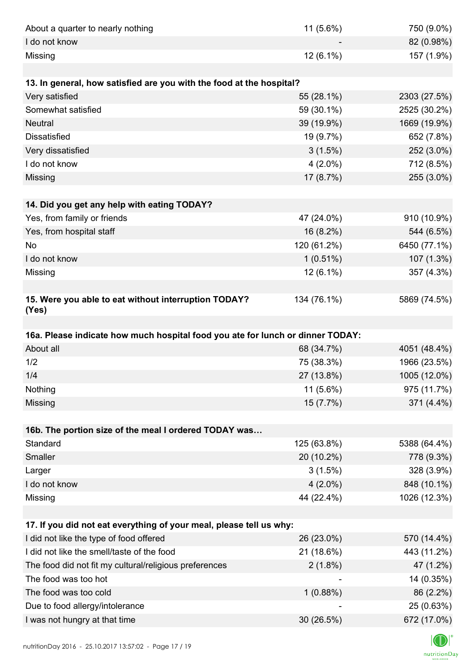| About a quarter to nearly nothing                                              | 11 (5.6%)   | 750 (9.0%)   |
|--------------------------------------------------------------------------------|-------------|--------------|
| I do not know                                                                  |             | 82 (0.98%)   |
| Missing                                                                        | 12 (6.1%)   | 157 (1.9%)   |
|                                                                                |             |              |
| 13. In general, how satisfied are you with the food at the hospital?           |             |              |
| Very satisfied                                                                 | 55 (28.1%)  | 2303 (27.5%) |
| Somewhat satisfied                                                             | 59 (30.1%)  | 2525 (30.2%) |
| <b>Neutral</b>                                                                 | 39 (19.9%)  | 1669 (19.9%) |
| <b>Dissatisfied</b>                                                            | 19 (9.7%)   | 652 (7.8%)   |
| Very dissatisfied                                                              | 3(1.5%)     | 252 (3.0%)   |
| I do not know                                                                  | $4(2.0\%)$  | 712 (8.5%)   |
| Missing                                                                        | 17 (8.7%)   | 255 (3.0%)   |
|                                                                                |             |              |
| 14. Did you get any help with eating TODAY?                                    |             |              |
| Yes, from family or friends                                                    | 47 (24.0%)  | 910 (10.9%)  |
| Yes, from hospital staff                                                       | 16 (8.2%)   | 544 (6.5%)   |
| No                                                                             | 120 (61.2%) | 6450 (77.1%) |
| I do not know                                                                  | $1(0.51\%)$ | 107 (1.3%)   |
| Missing                                                                        | 12 (6.1%)   | 357 (4.3%)   |
|                                                                                |             |              |
| 15. Were you able to eat without interruption TODAY?<br>(Yes)                  | 134 (76.1%) | 5869 (74.5%) |
|                                                                                |             |              |
| 16a. Please indicate how much hospital food you ate for lunch or dinner TODAY: |             |              |
| About all                                                                      | 68 (34.7%)  | 4051 (48.4%) |
| 1/2                                                                            | 75 (38.3%)  | 1966 (23.5%) |
| 1/4                                                                            | 27 (13.8%)  | 1005 (12.0%) |
| Nothing                                                                        | 11 (5.6%)   | 975 (11.7%)  |
| Missing                                                                        | 15 (7.7%)   | 371 (4.4%)   |
|                                                                                |             |              |
| 16b. The portion size of the meal I ordered TODAY was                          |             |              |
| Standard                                                                       | 125 (63.8%) | 5388 (64.4%) |
| Smaller                                                                        | 20 (10.2%)  | 778 (9.3%)   |
| Larger                                                                         | 3(1.5%)     | 328 (3.9%)   |
| I do not know                                                                  | $4(2.0\%)$  | 848 (10.1%)  |
| Missing                                                                        | 44 (22.4%)  | 1026 (12.3%) |
|                                                                                |             |              |
| 17. If you did not eat everything of your meal, please tell us why:            |             |              |
| I did not like the type of food offered                                        | 26 (23.0%)  | 570 (14.4%)  |
| I did not like the smell/taste of the food                                     | 21 (18.6%)  | 443 (11.2%)  |
| The food did not fit my cultural/religious preferences                         | $2(1.8\%)$  | 47 (1.2%)    |
| The food was too hot                                                           |             | 14 (0.35%)   |
| The food was too cold                                                          | 1(0.88%)    | 86 (2.2%)    |
| Due to food allergy/intolerance                                                |             | 25 (0.63%)   |
| I was not hungry at that time                                                  | 30 (26.5%)  | 672 (17.0%)  |
|                                                                                |             |              |

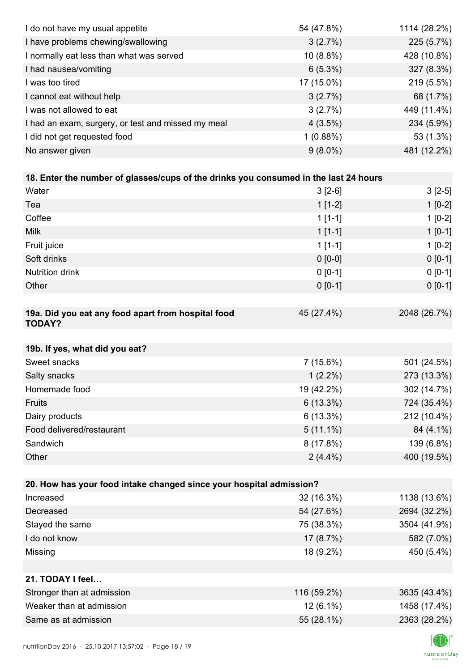| I do not have my usual appetite                                                      | 54 (47.8%)               | 1114 (28.2%)              |
|--------------------------------------------------------------------------------------|--------------------------|---------------------------|
| I have problems chewing/swallowing                                                   | 3(2.7%)                  | 225 (5.7%)                |
| I normally eat less than what was served                                             | 10 (8.8%)                | 428 (10.8%)               |
| I had nausea/vomiting                                                                | $6(5.3\%)$               | 327 (8.3%)                |
| I was too tired                                                                      | 17 (15.0%)               | 219 (5.5%)                |
| I cannot eat without help                                                            | 3(2.7%)                  | 68 (1.7%)                 |
| I was not allowed to eat                                                             | 3(2.7%)                  | 449 (11.4%)               |
| I had an exam, surgery, or test and missed my meal                                   | 4(3.5%)                  | 234 (5.9%)                |
| I did not get requested food                                                         | 1(0.88%)                 | 53 (1.3%)                 |
| No answer given                                                                      | $9(8.0\%)$               | 481 (12.2%)               |
|                                                                                      |                          |                           |
| 18. Enter the number of glasses/cups of the drinks you consumed in the last 24 hours |                          |                           |
| Water                                                                                | $3[2-6]$                 | $3[2-5]$                  |
| Tea                                                                                  | $1[1-2]$                 | $1[0-2]$                  |
| Coffee                                                                               | $1 [1 - 1]$              | $1[0-2]$                  |
| <b>Milk</b>                                                                          | $1[1-1]$                 | $1[0-1]$                  |
| Fruit juice                                                                          | $1[1-1]$                 | $1[0-2]$                  |
| Soft drinks                                                                          | $0 [0-0]$                | $0[0-1]$                  |
| <b>Nutrition drink</b>                                                               | $0 [0-1]$                | $0 [0-1]$                 |
| Other                                                                                | $0 [0-1]$                | $0 [0-1]$                 |
|                                                                                      |                          |                           |
| 19a. Did you eat any food apart from hospital food<br><b>TODAY?</b>                  | 45 (27.4%)               | 2048 (26.7%)              |
| 19b. If yes, what did you eat?                                                       |                          |                           |
| Sweet snacks                                                                         | $7(15.6\%)$              | 501 (24.5%)               |
|                                                                                      |                          | 273 (13.3%)               |
| Salty snacks<br>Homemade food                                                        | $1(2.2\%)$<br>19 (42.2%) | 302 (14.7%)               |
| Fruits                                                                               | 6(13.3%)                 | 724 (35.4%)               |
| Dairy products                                                                       | 6(13.3%)                 | 212 (10.4%)               |
| Food delivered/restaurant                                                            |                          |                           |
| Sandwich                                                                             | $5(11.1\%)$              | 84 (4.1%)                 |
| Other                                                                                | 8(17.8%)                 | 139 (6.8%)<br>400 (19.5%) |
|                                                                                      | $2(4.4\%)$               |                           |
| 20. How has your food intake changed since your hospital admission?                  |                          |                           |
| Increased                                                                            | 32 (16.3%)               | 1138 (13.6%)              |
| Decreased                                                                            | 54 (27.6%)               | 2694 (32.2%)              |
| Stayed the same                                                                      | 75 (38.3%)               | 3504 (41.9%)              |
| I do not know                                                                        | 17(8.7%)                 | 582 (7.0%)                |
| Missing                                                                              | 18 (9.2%)                | 450 (5.4%)                |
|                                                                                      |                          |                           |
| 21. TODAY I feel                                                                     |                          |                           |
| Stronger than at admission                                                           | 116 (59.2%)              | 3635 (43.4%)              |
| Weaker than at admission                                                             | $12(6.1\%)$              | 1458 (17.4%)              |
| Same as at admission                                                                 | 55 (28.1%)               | 2363 (28.2%)              |
|                                                                                      |                          |                           |